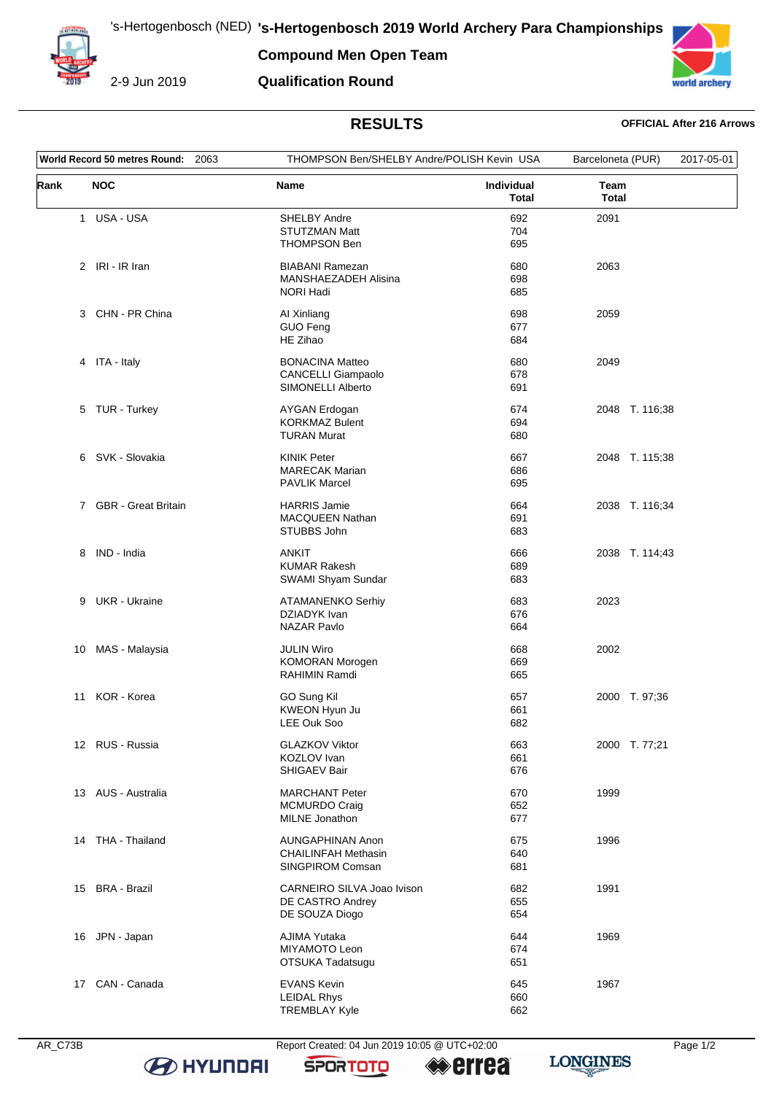**Compound Men Open Team**



2-9 Jun 2019





### **RESULTS OFFICIAL After 216 Arrows**

| World Record 50 metres Round: 2063 |                       |                                                                           | THOMPSON Ben/SHELBY Andre/POLISH Kevin USA |                      | 2017-05-01 |
|------------------------------------|-----------------------|---------------------------------------------------------------------------|--------------------------------------------|----------------------|------------|
| Rank                               | <b>NOC</b>            | Name                                                                      | Individual<br>Total                        | Team<br><b>Total</b> |            |
|                                    | 1 USA - USA           | <b>SHELBY Andre</b><br><b>STUTZMAN Matt</b><br><b>THOMPSON Ben</b>        | 692<br>704<br>695                          | 2091                 |            |
|                                    | 2 IRI - IR Iran       | <b>BIABANI Ramezan</b><br>MANSHAEZADEH Alisina<br><b>NORI Hadi</b>        | 680<br>698<br>685                          | 2063                 |            |
| 3                                  | CHN - PR China        | Al Xinliang<br><b>GUO Feng</b><br>HE Zihao                                | 698<br>677<br>684                          | 2059                 |            |
|                                    | 4 ITA - Italy         | <b>BONACINA Matteo</b><br>CANCELLI Giampaolo<br>SIMONELLI Alberto         | 680<br>678<br>691                          | 2049                 |            |
|                                    | 5 TUR - Turkey        | AYGAN Erdogan<br><b>KORKMAZ Bulent</b><br><b>TURAN Murat</b>              | 674<br>694<br>680                          | 2048 T. 116;38       |            |
|                                    | 6 SVK - Slovakia      | <b>KINIK Peter</b><br><b>MARECAK Marian</b><br><b>PAVLIK Marcel</b>       | 667<br>686<br>695                          | 2048 T. 115;38       |            |
|                                    | 7 GBR - Great Britain | <b>HARRIS Jamie</b><br><b>MACQUEEN Nathan</b><br>STUBBS John              | 664<br>691<br>683                          | 2038 T. 116;34       |            |
|                                    | 8 IND - India         | <b>ANKIT</b><br><b>KUMAR Rakesh</b><br>SWAMI Shyam Sundar                 | 666<br>689<br>683                          | 2038 T. 114,43       |            |
| 9                                  | <b>UKR</b> - Ukraine  | ATAMANENKO Serhiy<br>DZIADYK Ivan<br><b>NAZAR Pavlo</b>                   | 683<br>676<br>664                          | 2023                 |            |
| 10                                 | MAS - Malaysia        | <b>JULIN Wiro</b><br><b>KOMORAN Morogen</b><br><b>RAHIMIN Ramdi</b>       | 668<br>669<br>665                          | 2002                 |            |
| 11                                 | KOR - Korea           | GO Sung Kil<br>KWEON Hyun Ju<br>LEE Ouk Soo                               | 657<br>661<br>682                          | 2000 T. 97;36        |            |
|                                    | 12 RUS - Russia       | <b>GLAZKOV Viktor</b><br>KOZLOV Ivan<br>SHIGAEV Bair                      | 663<br>661<br>676                          | 2000 T. 77;21        |            |
|                                    | 13 AUS - Australia    | <b>MARCHANT Peter</b><br><b>MCMURDO Craig</b><br>MILNE Jonathon           | 670<br>652<br>677                          | 1999                 |            |
|                                    | 14 THA - Thailand     | <b>AUNGAPHINAN Anon</b><br><b>CHAILINFAH Methasin</b><br>SINGPIROM Comsan | 675<br>640<br>681                          | 1996                 |            |
|                                    | 15 BRA - Brazil       | CARNEIRO SILVA Joao Ivison<br>DE CASTRO Andrey<br>DE SOUZA Diogo          | 682<br>655<br>654                          | 1991                 |            |
|                                    | 16 JPN - Japan        | AJIMA Yutaka<br>MIYAMOTO Leon<br>OTSUKA Tadatsugu                         | 644<br>674<br>651                          | 1969                 |            |
|                                    | 17 CAN - Canada       | <b>EVANS Kevin</b><br><b>LEIDAL Rhys</b><br><b>TREMBLAY Kyle</b>          | 645<br>660<br>662                          | 1967                 |            |

**B** HYUNDAI

AR\_C73B Report Created: 04 Jun 2019 10:05 @ UTC+02:00 Page 1/2

**SPORTOTO** 

<sup>●</sup>errea

**LONGINES**